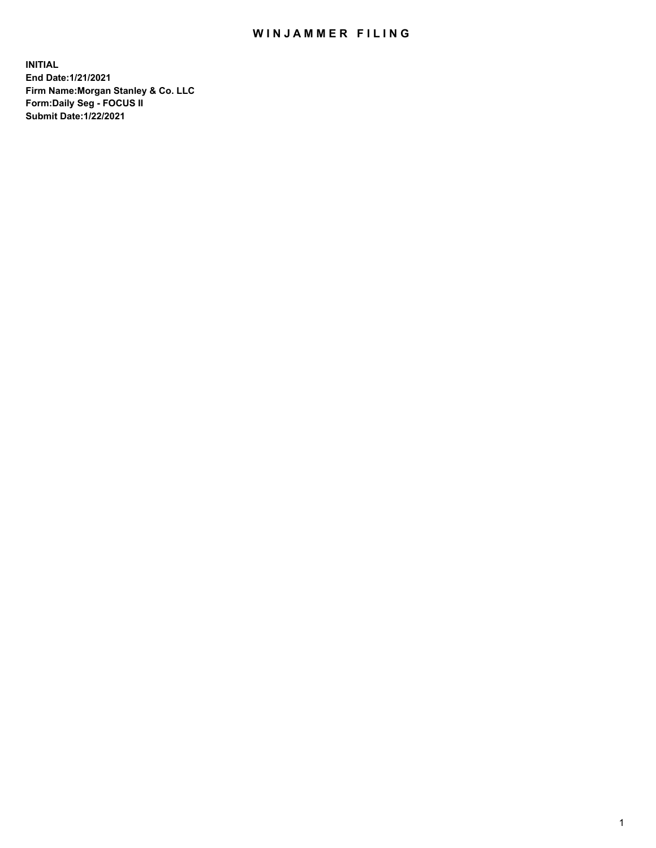## WIN JAMMER FILING

**INITIAL End Date:1/21/2021 Firm Name:Morgan Stanley & Co. LLC Form:Daily Seg - FOCUS II Submit Date:1/22/2021**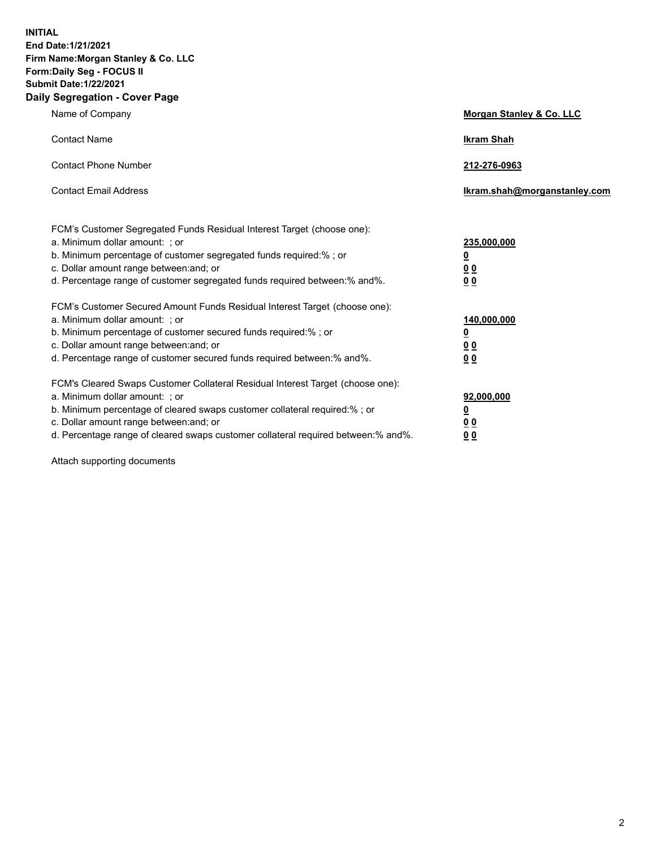**INITIAL End Date:1/21/2021 Firm Name:Morgan Stanley & Co. LLC Form:Daily Seg - FOCUS II Submit Date:1/22/2021 Daily Segregation - Cover Page**

| Name of Company                                                                                                                                                                                                                                                                                                                | Morgan Stanley & Co. LLC                                    |  |
|--------------------------------------------------------------------------------------------------------------------------------------------------------------------------------------------------------------------------------------------------------------------------------------------------------------------------------|-------------------------------------------------------------|--|
| <b>Contact Name</b>                                                                                                                                                                                                                                                                                                            | <b>Ikram Shah</b>                                           |  |
| <b>Contact Phone Number</b>                                                                                                                                                                                                                                                                                                    | 212-276-0963                                                |  |
| <b>Contact Email Address</b>                                                                                                                                                                                                                                                                                                   | Ikram.shah@morganstanley.com                                |  |
| FCM's Customer Segregated Funds Residual Interest Target (choose one):<br>a. Minimum dollar amount: ; or<br>b. Minimum percentage of customer segregated funds required:% ; or<br>c. Dollar amount range between: and; or<br>d. Percentage range of customer segregated funds required between:% and%.                         | 235,000,000<br><u>0</u><br><u>00</u><br>0 <sub>0</sub>      |  |
| FCM's Customer Secured Amount Funds Residual Interest Target (choose one):<br>a. Minimum dollar amount: ; or<br>b. Minimum percentage of customer secured funds required:% ; or<br>c. Dollar amount range between: and; or<br>d. Percentage range of customer secured funds required between:% and%.                           | 140,000,000<br><u>0</u><br>0 <sub>0</sub><br>0 <sub>0</sub> |  |
| FCM's Cleared Swaps Customer Collateral Residual Interest Target (choose one):<br>a. Minimum dollar amount: ; or<br>b. Minimum percentage of cleared swaps customer collateral required:% ; or<br>c. Dollar amount range between: and; or<br>d. Percentage range of cleared swaps customer collateral required between:% and%. | 92,000,000<br><u>0</u><br><u>00</u><br>00                   |  |

Attach supporting documents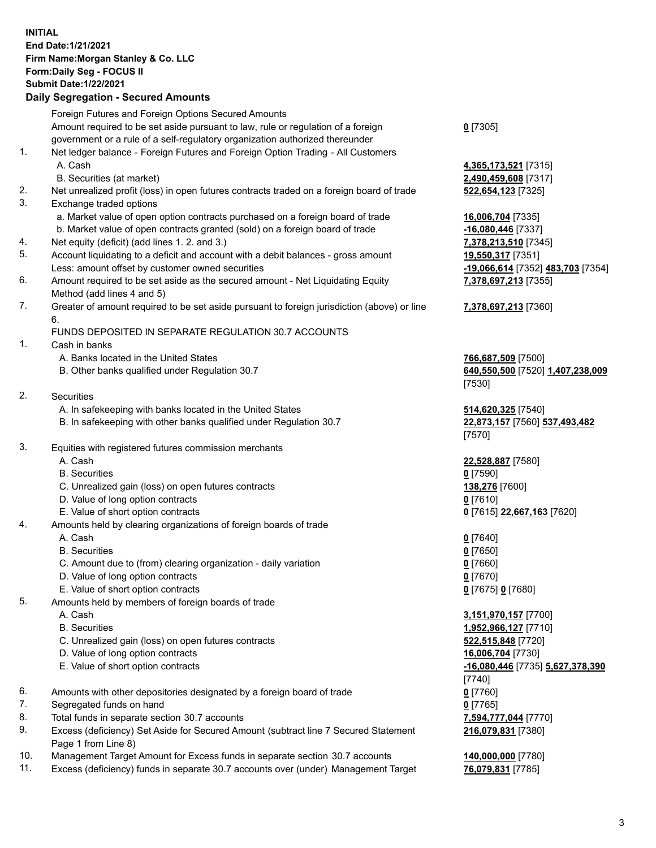## **INITIAL End Date:1/21/2021 Firm Name:Morgan Stanley & Co. LLC Form:Daily Seg - FOCUS II Submit Date:1/22/2021**

## **Daily Segregation - Secured Amounts**

|    | Foreign Futures and Foreign Options Secured Amounts                                                                                                             |                                            |
|----|-----------------------------------------------------------------------------------------------------------------------------------------------------------------|--------------------------------------------|
|    | Amount required to be set aside pursuant to law, rule or regulation of a foreign                                                                                | $0$ [7305]                                 |
| 1. | government or a rule of a self-regulatory organization authorized thereunder<br>Net ledger balance - Foreign Futures and Foreign Option Trading - All Customers |                                            |
|    | A. Cash                                                                                                                                                         | 4,365,173,521 [7315]                       |
|    | B. Securities (at market)                                                                                                                                       | 2,490,459,608 [7317]                       |
| 2. | Net unrealized profit (loss) in open futures contracts traded on a foreign board of trade                                                                       | 522,654,123 [7325]                         |
| 3. | Exchange traded options                                                                                                                                         |                                            |
|    | a. Market value of open option contracts purchased on a foreign board of trade                                                                                  | 16,006,704 [7335]                          |
|    | b. Market value of open contracts granted (sold) on a foreign board of trade                                                                                    | -16,080,446 [7337]                         |
| 4. | Net equity (deficit) (add lines 1.2. and 3.)                                                                                                                    | 7,378,213,510 [7345]                       |
| 5. | Account liquidating to a deficit and account with a debit balances - gross amount                                                                               | 19,550,317 [7351]                          |
|    | Less: amount offset by customer owned securities                                                                                                                | <u>-19,066,614</u> [7352] 48               |
| 6. | Amount required to be set aside as the secured amount - Net Liquidating Equity                                                                                  | 7,378,697,213 [7355]                       |
|    | Method (add lines 4 and 5)                                                                                                                                      |                                            |
| 7. | Greater of amount required to be set aside pursuant to foreign jurisdiction (above) or line                                                                     | 7,378,697,213 [7360]                       |
|    | 6.                                                                                                                                                              |                                            |
|    | FUNDS DEPOSITED IN SEPARATE REGULATION 30.7 ACCOUNTS                                                                                                            |                                            |
| 1. | Cash in banks<br>A. Banks located in the United States                                                                                                          |                                            |
|    | B. Other banks qualified under Regulation 30.7                                                                                                                  | 766,687,509 [7500]<br>640,550,500 [7520] 1 |
|    |                                                                                                                                                                 | [7530]                                     |
| 2. | Securities                                                                                                                                                      |                                            |
|    | A. In safekeeping with banks located in the United States                                                                                                       | 514,620,325 [7540]                         |
|    | B. In safekeeping with other banks qualified under Regulation 30.7                                                                                              | 22,873,157 [7560] 53                       |
|    |                                                                                                                                                                 | [7570]                                     |
| 3. | Equities with registered futures commission merchants                                                                                                           |                                            |
|    | A. Cash                                                                                                                                                         | 22,528,887 [7580]                          |
|    | <b>B.</b> Securities                                                                                                                                            | $0$ [7590]                                 |
|    | C. Unrealized gain (loss) on open futures contracts                                                                                                             | 138,276 [7600]                             |
|    | D. Value of long option contracts                                                                                                                               | $0$ [7610]                                 |
|    | E. Value of short option contracts                                                                                                                              | 0 [7615] 22,667,163 [                      |
| 4. | Amounts held by clearing organizations of foreign boards of trade                                                                                               |                                            |
|    | A. Cash                                                                                                                                                         | $0$ [7640]                                 |
|    | <b>B.</b> Securities                                                                                                                                            | $0$ [7650]                                 |
|    | C. Amount due to (from) clearing organization - daily variation                                                                                                 | $0$ [7660]                                 |
|    | D. Value of long option contracts                                                                                                                               | $0$ [7670]                                 |
| 5. | E. Value of short option contracts<br>Amounts held by members of foreign boards of trade                                                                        | 0 [7675] 0 [7680]                          |
|    | A. Cash                                                                                                                                                         | 3,151,970,157 [7700]                       |
|    | <b>B.</b> Securities                                                                                                                                            | 1,952,966,127 [7710]                       |
|    | C. Unrealized gain (loss) on open futures contracts                                                                                                             | 522,515,848 [7720]                         |
|    | D. Value of long option contracts                                                                                                                               | 16,006,704 [7730]                          |
|    | E. Value of short option contracts                                                                                                                              | -16,080,446 [7735] 5,                      |
|    |                                                                                                                                                                 | [7740]                                     |
| 6. | Amounts with other depositories designated by a foreign board of trade                                                                                          | $0$ [7760]                                 |
| 7. | Segregated funds on hand                                                                                                                                        | $0$ [7765]                                 |
| 8. | Total funds in separate section 30.7 accounts                                                                                                                   | 7,594,777,044 [7770]                       |
| 9. | Excess (deficiency) Set Aside for Secured Amount (subtract line 7 Secured Statement                                                                             | 216,079,831 [7380]                         |
|    | Page 1 from Line 8)                                                                                                                                             |                                            |

- 10. Management Target Amount for Excess funds in separate section 30.7 accounts **140,000,000** [7780]
- 11. Excess (deficiency) funds in separate 30.7 accounts over (under) Management Target **76,079,831** [7785]

**0,446** [7337] Less: amount offset by customer owned securities **-19,066,614** [7352] **483,703** [7354] **7,378,697,213** [7355]

## **7,378,697,213** [7360]

**87,509** [7500] B. Other banks qualified under Regulation 30.7 **640,550,500** [7520] **1,407,238,009**

**0.325** [7540] 8. 157 [7560] 537,493,482

E. Value of short option contracts **0** [7615] **22,667,163** [7620]

 A. Cash **3,151,970,157** [7700] **966,127** [7710] **5,848** [7720] E. Value of short option contracts **-16,080,446** [7735] **5,627,378,390 216,079,831** [7380]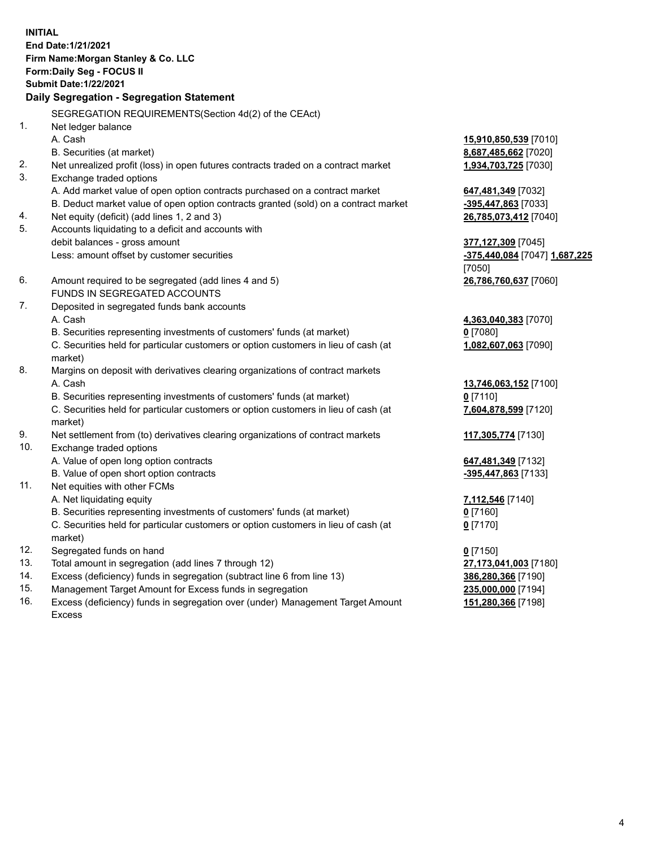**INITIAL End Date:1/21/2021 Firm Name:Morgan Stanley & Co. LLC Form:Daily Seg - FOCUS II Submit Date:1/22/2021 Daily Segregation - Segregation Statement** SEGREGATION REQUIREMENTS(Section 4d(2) of the CEAct) 1. Net ledger balance A. Cash **15,910,850,539** [7010] B. Securities (at market) **8,687,485,662** [7020] 2. Net unrealized profit (loss) in open futures contracts traded on a contract market **1,934,703,725** [7030] 3. Exchange traded options A. Add market value of open option contracts purchased on a contract market **647,481,349** [7032] B. Deduct market value of open option contracts granted (sold) on a contract market **-395,447,863** [7033] 4. Net equity (deficit) (add lines 1, 2 and 3) **26,785,073,412** [7040] 5. Accounts liquidating to a deficit and accounts with debit balances - gross amount **377,127,309** [7045] Less: amount offset by customer securities **-375,440,084** [7047] **1,687,225** [7050] 6. Amount required to be segregated (add lines 4 and 5) **26,786,760,637** [7060] FUNDS IN SEGREGATED ACCOUNTS 7. Deposited in segregated funds bank accounts A. Cash **4,363,040,383** [7070] B. Securities representing investments of customers' funds (at market) **0** [7080] C. Securities held for particular customers or option customers in lieu of cash (at market) **1,082,607,063** [7090] 8. Margins on deposit with derivatives clearing organizations of contract markets A. Cash **13,746,063,152** [7100] B. Securities representing investments of customers' funds (at market) **0** [7110] C. Securities held for particular customers or option customers in lieu of cash (at market) **7,604,878,599** [7120] 9. Net settlement from (to) derivatives clearing organizations of contract markets **117,305,774** [7130] 10. Exchange traded options A. Value of open long option contracts **647,481,349** [7132] B. Value of open short option contracts **and the set of our original contracts -395,447,863** [7133] 11. Net equities with other FCMs A. Net liquidating equity **7,112,546** [7140] B. Securities representing investments of customers' funds (at market) **0** [7160] C. Securities held for particular customers or option customers in lieu of cash (at market) **0** [7170] 12. Segregated funds on hand **0** [7150] 13. Total amount in segregation (add lines 7 through 12) **27,173,041,003** [7180] 14. Excess (deficiency) funds in segregation (subtract line 6 from line 13) **386,280,366** [7190]

- 15. Management Target Amount for Excess funds in segregation **235,000,000** [7194]
- 16. Excess (deficiency) funds in segregation over (under) Management Target Amount Excess

**151,280,366** [7198]